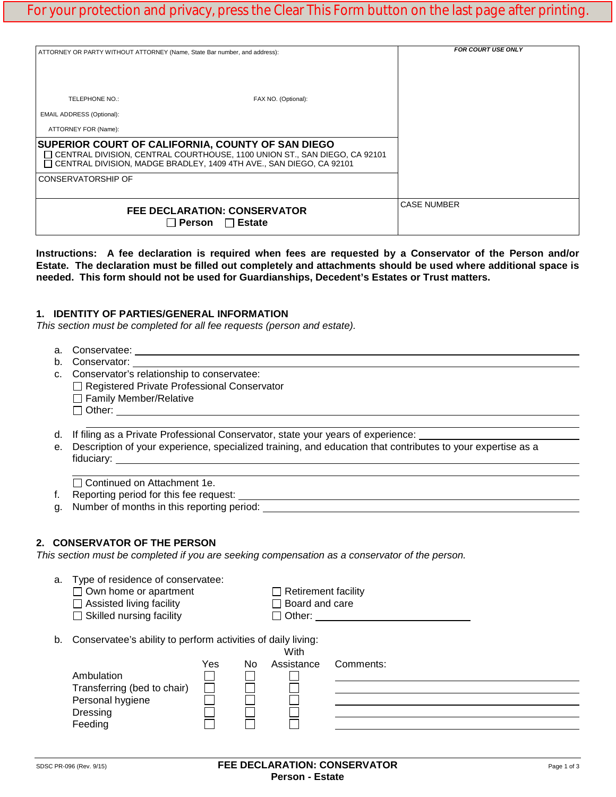| ATTORNEY OR PARTY WITHOUT ATTORNEY (Name, State Bar number, and address): | <b>FOR COURT USE ONLY</b>                                                                                                                                                                               |                    |
|---------------------------------------------------------------------------|---------------------------------------------------------------------------------------------------------------------------------------------------------------------------------------------------------|--------------------|
|                                                                           |                                                                                                                                                                                                         |                    |
|                                                                           |                                                                                                                                                                                                         |                    |
| TELEPHONE NO.:                                                            | FAX NO. (Optional):                                                                                                                                                                                     |                    |
| <b>EMAIL ADDRESS (Optional):</b>                                          |                                                                                                                                                                                                         |                    |
| ATTORNEY FOR (Name):                                                      |                                                                                                                                                                                                         |                    |
|                                                                           | SUPERIOR COURT OF CALIFORNIA, COUNTY OF SAN DIEGO<br>□ CENTRAL DIVISION, CENTRAL COURTHOUSE, 1100 UNION ST., SAN DIEGO, CA 92101<br>□ CENTRAL DIVISION. MADGE BRADLEY. 1409 4TH AVE SAN DIEGO. CA 92101 |                    |
| <b>CONSERVATORSHIP OF</b>                                                 |                                                                                                                                                                                                         |                    |
|                                                                           |                                                                                                                                                                                                         | <b>CASE NUMBER</b> |

# **1. IDENTITY OF PARTIES/GENERAL INFORMATION**

*This section must be completed for all fee requests (person and estate).*

- a. Conservatee:
- b. Conservator:
- c. Conservator's relationship to conservatee: □ Registered Private Professional Conservator □ Family Member/Relative Other: **William**
- d. If filing as a Private Professional Conservator, state your years of experience:

**needed. This form should not be used for Guardianships, Decedent's Estates or Trust matters.**

e. Description of your experience, specialized training, and education that contributes to your expertise as a fiduciary:

□ Continued on Attachment 1e.

f. Reporting period for this fee request:

g. Number of months in this reporting period:

# **2. CONSERVATOR OF THE PERSON**

*This section must be completed if you are seeking compensation as a conservator of the person.*

| Type of residence of conservatee:<br>a. |  |
|-----------------------------------------|--|
|-----------------------------------------|--|

 $\Box$  Assisted living facility  $\Box$  Board and care  $\Box$  Skilled nursing facility  $\Box$  Other:

 $\Box$  Skilled nursing facility

 $\Box$  Retirement facility<br> $\Box$  Board and care

b. Conservatee's ability to perform activities of daily living:  $N = 1$ 

|                             |     |    | vv itn     |           |
|-----------------------------|-----|----|------------|-----------|
|                             | Yes | No | Assistance | Comments: |
| Ambulation                  |     |    |            |           |
| Transferring (bed to chair) |     |    |            |           |
| Personal hygiene            |     |    |            |           |
| Dressing                    |     |    |            |           |
| Feeding                     |     |    |            |           |
|                             |     |    |            |           |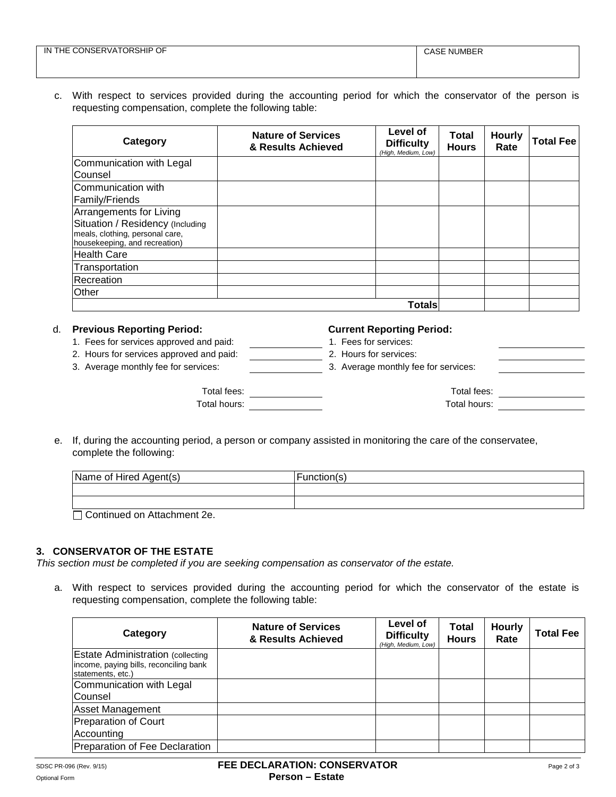| TORSHIP<br>OF.<br>IN<br>ONSERVAT(<br>THE,<br>__ | <b>NUMBER</b><br>، ص<br>JASE |
|-------------------------------------------------|------------------------------|
|                                                 |                              |

# c. With respect to services provided during the accounting period for which the conservator of the person is requesting compensation, complete the following table:

| Category                                                                                                                        | <b>Nature of Services</b><br>& Results Achieved | Level of<br><b>Difficulty</b><br>(High, Medium, Low) | <b>Total</b><br><b>Hours</b> | <b>Hourly</b><br>Rate | <b>Total Fee</b> |
|---------------------------------------------------------------------------------------------------------------------------------|-------------------------------------------------|------------------------------------------------------|------------------------------|-----------------------|------------------|
| Communication with Legal                                                                                                        |                                                 |                                                      |                              |                       |                  |
| Counsel                                                                                                                         |                                                 |                                                      |                              |                       |                  |
| Communication with<br>Family/Friends                                                                                            |                                                 |                                                      |                              |                       |                  |
| Arrangements for Living<br>Situation / Residency (Including<br>meals, clothing, personal care,<br>housekeeping, and recreation) |                                                 |                                                      |                              |                       |                  |
| <b>Health Care</b>                                                                                                              |                                                 |                                                      |                              |                       |                  |
| Transportation                                                                                                                  |                                                 |                                                      |                              |                       |                  |
| Recreation                                                                                                                      |                                                 |                                                      |                              |                       |                  |
| Other                                                                                                                           |                                                 |                                                      |                              |                       |                  |
|                                                                                                                                 |                                                 | <b>Totals</b>                                        |                              |                       |                  |

# d. **Previous Reporting Period: Current Reporting Period:**

1. Fees for services approved and paid: 1. Fees for services:

# 2. Hours for services approved and paid: 2. Hours for services:

3. Average monthly fee for services: 3. Average monthly fee for services:

- 
- 

| 3. Average monthly fee for services: |
|--------------------------------------|

| Total fees:  | Total fees:  |  |
|--------------|--------------|--|
| Total hours: | Total hours: |  |
|              |              |  |

e. If, during the accounting period, a person or company assisted in monitoring the care of the conservatee, complete the following:

| <b>Function(s)</b> |
|--------------------|
|                    |
|                    |
|                    |

□ Continued on Attachment 2e.

# **3. CONSERVATOR OF THE ESTATE**

*This section must be completed if you are seeking compensation as conservator of the estate.*

a. With respect to services provided during the accounting period for which the conservator of the estate is requesting compensation, complete the following table:

| Category                                                                                                | <b>Nature of Services</b><br>& Results Achieved | Level of<br><b>Difficulty</b><br>(High, Medium, Low) | <b>Total</b><br><b>Hours</b> | <b>Hourly</b><br>Rate | <b>Total Fee</b> |
|---------------------------------------------------------------------------------------------------------|-------------------------------------------------|------------------------------------------------------|------------------------------|-----------------------|------------------|
| <b>Estate Administration (collecting</b><br>income, paying bills, reconciling bank<br>statements, etc.) |                                                 |                                                      |                              |                       |                  |
| Communication with Legal<br>Counsel                                                                     |                                                 |                                                      |                              |                       |                  |
| <b>Asset Management</b>                                                                                 |                                                 |                                                      |                              |                       |                  |
| Preparation of Court                                                                                    |                                                 |                                                      |                              |                       |                  |
| Accounting                                                                                              |                                                 |                                                      |                              |                       |                  |
| Preparation of Fee Declaration                                                                          |                                                 |                                                      |                              |                       |                  |